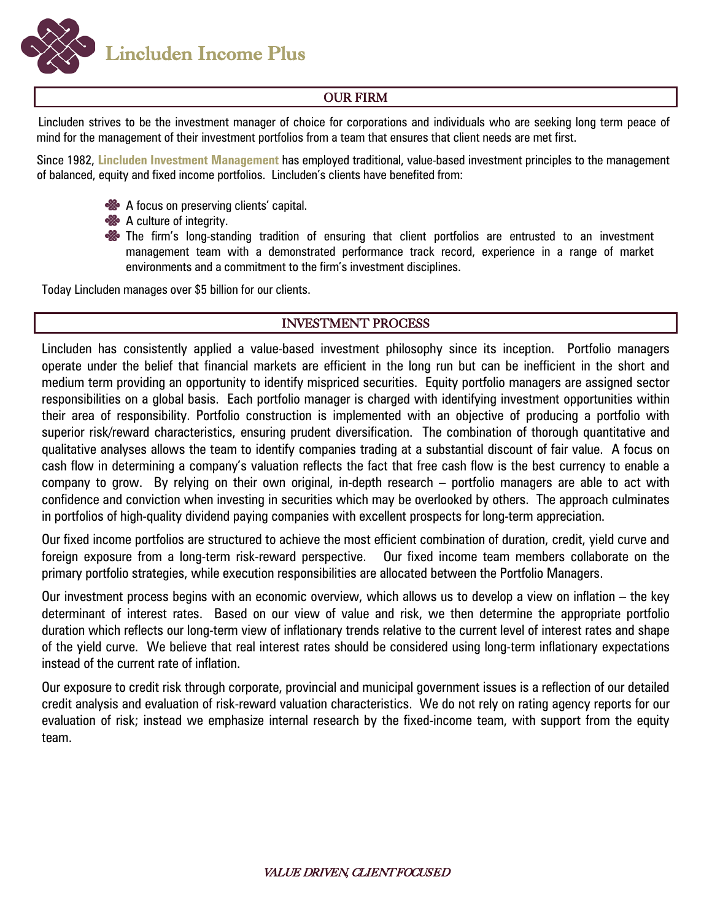**Lincluden Income Plus** 

## OUR FIRM

Lincluden strives to be the investment manager of choice for corporations and individuals who are seeking long term peace of mind for the management of their investment portfolios from a team that ensures that client needs are met first.

Since 1982, **Lincluden Investment Management** has employed traditional, value-based investment principles to the management of balanced, equity and fixed income portfolios. Lincluden's clients have benefited from:

- A focus on preserving clients' capital.
- **&** A culture of integrity.
- **\*\*** The firm's long-standing tradition of ensuring that client portfolios are entrusted to an investment management team with a demonstrated performance track record, experience in a range of market environments and a commitment to the firm's investment disciplines.

Today Lincluden manages over \$5 billion for our clients.

## INVESTMENT PROCESS

Lincluden has consistently applied a value-based investment philosophy since its inception. Portfolio managers operate under the belief that financial markets are efficient in the long run but can be inefficient in the short and medium term providing an opportunity to identify mispriced securities. Equity portfolio managers are assigned sector responsibilities on a global basis. Each portfolio manager is charged with identifying investment opportunities within their area of responsibility. Portfolio construction is implemented with an objective of producing a portfolio with superior risk/reward characteristics, ensuring prudent diversification. The combination of thorough quantitative and qualitative analyses allows the team to identify companies trading at a substantial discount of fair value. A focus on cash flow in determining a company's valuation reflects the fact that free cash flow is the best currency to enable a company to grow. By relying on their own original, in-depth research – portfolio managers are able to act with confidence and conviction when investing in securities which may be overlooked by others. The approach culminates in portfolios of high-quality dividend paying companies with excellent prospects for long-term appreciation.

Our fixed income portfolios are structured to achieve the most efficient combination of duration, credit, yield curve and foreign exposure from a long-term risk-reward perspective. Our fixed income team members collaborate on the primary portfolio strategies, while execution responsibilities are allocated between the Portfolio Managers.

Our investment process begins with an economic overview, which allows us to develop a view on inflation – the key determinant of interest rates. Based on our view of value and risk, we then determine the appropriate portfolio duration which reflects our long-term view of inflationary trends relative to the current level of interest rates and shape of the yield curve. We believe that real interest rates should be considered using long-term inflationary expectations instead of the current rate of inflation.

Our exposure to credit risk through corporate, provincial and municipal government issues is a reflection of our detailed credit analysis and evaluation of risk-reward valuation characteristics. We do not rely on rating agency reports for our evaluation of risk; instead we emphasize internal research by the fixed-income team, with support from the equity team.